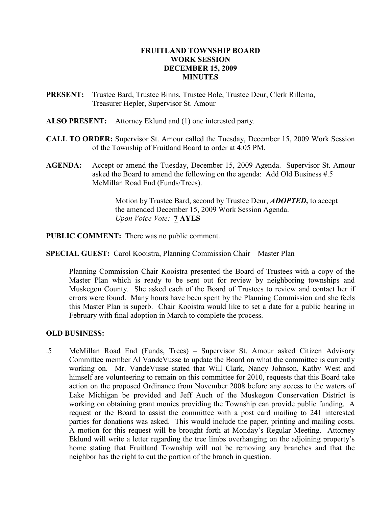## FRUITLAND TOWNSHIP BOARD WORK SESSION DECEMBER 15, 2009 **MINUTES**

- PRESENT: Trustee Bard, Trustee Binns, Trustee Bole, Trustee Deur, Clerk Rillema, Treasurer Hepler, Supervisor St. Amour
- ALSO PRESENT: Attorney Eklund and (1) one interested party.
- CALL TO ORDER: Supervisor St. Amour called the Tuesday, December 15, 2009 Work Session of the Township of Fruitland Board to order at 4:05 PM.
- AGENDA: Accept or amend the Tuesday, December 15, 2009 Agenda. Supervisor St. Amour asked the Board to amend the following on the agenda: Add Old Business #.5 McMillan Road End (Funds/Trees).

Motion by Trustee Bard, second by Trustee Deur, **ADOPTED**, to accept the amended December 15, 2009 Work Session Agenda. Upon Voice Vote: **7 AYES** 

PUBLIC COMMENT: There was no public comment.

SPECIAL GUEST: Carol Kooistra, Planning Commission Chair – Master Plan

 Planning Commission Chair Kooistra presented the Board of Trustees with a copy of the Master Plan which is ready to be sent out for review by neighboring townships and Muskegon County. She asked each of the Board of Trustees to review and contact her if errors were found. Many hours have been spent by the Planning Commission and she feels this Master Plan is superb. Chair Kooistra would like to set a date for a public hearing in February with final adoption in March to complete the process.

## OLD BUSINESS:

.5 McMillan Road End (Funds, Trees) – Supervisor St. Amour asked Citizen Advisory Committee member Al VandeVusse to update the Board on what the committee is currently working on. Mr. VandeVusse stated that Will Clark, Nancy Johnson, Kathy West and himself are volunteering to remain on this committee for 2010, requests that this Board take action on the proposed Ordinance from November 2008 before any access to the waters of Lake Michigan be provided and Jeff Auch of the Muskegon Conservation District is working on obtaining grant monies providing the Township can provide public funding. A request or the Board to assist the committee with a post card mailing to 241 interested parties for donations was asked. This would include the paper, printing and mailing costs. A motion for this request will be brought forth at Monday's Regular Meeting. Attorney Eklund will write a letter regarding the tree limbs overhanging on the adjoining property's home stating that Fruitland Township will not be removing any branches and that the neighbor has the right to cut the portion of the branch in question.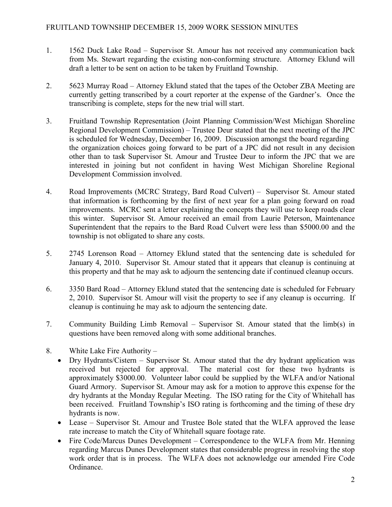- 1. 1562 Duck Lake Road Supervisor St. Amour has not received any communication back from Ms. Stewart regarding the existing non-conforming structure. Attorney Eklund will draft a letter to be sent on action to be taken by Fruitland Township.
- 2. 5623 Murray Road Attorney Eklund stated that the tapes of the October ZBA Meeting are currently getting transcribed by a court reporter at the expense of the Gardner's. Once the transcribing is complete, steps for the new trial will start.
- 3. Fruitland Township Representation (Joint Planning Commission/West Michigan Shoreline Regional Development Commission) – Trustee Deur stated that the next meeting of the JPC is scheduled for Wednesday, December 16, 2009. Discussion amongst the board regarding the organization choices going forward to be part of a JPC did not result in any decision other than to task Supervisor St. Amour and Trustee Deur to inform the JPC that we are interested in joining but not confident in having West Michigan Shoreline Regional Development Commission involved.
- 4. Road Improvements (MCRC Strategy, Bard Road Culvert) Supervisor St. Amour stated that information is forthcoming by the first of next year for a plan going forward on road improvements. MCRC sent a letter explaining the concepts they will use to keep roads clear this winter. Supervisor St. Amour received an email from Laurie Peterson, Maintenance Superintendent that the repairs to the Bard Road Culvert were less than \$5000.00 and the township is not obligated to share any costs.
- 5. 2745 Lorenson Road Attorney Eklund stated that the sentencing date is scheduled for January 4, 2010. Supervisor St. Amour stated that it appears that cleanup is continuing at this property and that he may ask to adjourn the sentencing date if continued cleanup occurs.
- 6. 3350 Bard Road Attorney Eklund stated that the sentencing date is scheduled for February 2, 2010. Supervisor St. Amour will visit the property to see if any cleanup is occurring. If cleanup is continuing he may ask to adjourn the sentencing date.
- 7. Community Building Limb Removal Supervisor St. Amour stated that the limb(s) in questions have been removed along with some additional branches.
- 8. White Lake Fire Authority
	- Dry Hydrants/Cistern Supervisor St. Amour stated that the dry hydrant application was received but rejected for approval. The material cost for these two hydrants is approximately \$3000.00. Volunteer labor could be supplied by the WLFA and/or National Guard Armory. Supervisor St. Amour may ask for a motion to approve this expense for the dry hydrants at the Monday Regular Meeting. The ISO rating for the City of Whitehall has been received. Fruitland Township's ISO rating is forthcoming and the timing of these dry hydrants is now.
	- Lease Supervisor St. Amour and Trustee Bole stated that the WLFA approved the lease rate increase to match the City of Whitehall square footage rate.
	- Fire Code/Marcus Dunes Development Correspondence to the WLFA from Mr. Henning regarding Marcus Dunes Development states that considerable progress in resolving the stop work order that is in process. The WLFA does not acknowledge our amended Fire Code Ordinance.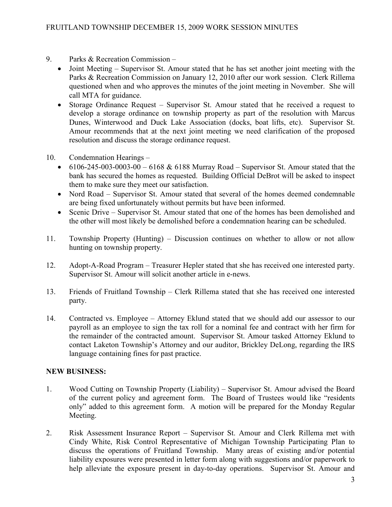- 9. Parks & Recreation Commission
	- Joint Meeting Supervisor St. Amour stated that he has set another joint meeting with the Parks & Recreation Commission on January 12, 2010 after our work session. Clerk Rillema questioned when and who approves the minutes of the joint meeting in November. She will call MTA for guidance.
	- Storage Ordinance Request Supervisor St. Amour stated that he received a request to develop a storage ordinance on township property as part of the resolution with Marcus Dunes, Winterwood and Duck Lake Association (docks, boat lifts, etc). Supervisor St. Amour recommends that at the next joint meeting we need clarification of the proposed resolution and discuss the storage ordinance request.
- 10. Condemnation Hearings
	- 6106-245-003-0003-00 6168 & 6188 Murray Road Supervisor St. Amour stated that the bank has secured the homes as requested. Building Official DeBrot will be asked to inspect them to make sure they meet our satisfaction.
	- Nord Road Supervisor St. Amour stated that several of the homes deemed condemnable are being fixed unfortunately without permits but have been informed.
	- Scenic Drive Supervisor St. Amour stated that one of the homes has been demolished and the other will most likely be demolished before a condemnation hearing can be scheduled.
- 11. Township Property (Hunting) Discussion continues on whether to allow or not allow hunting on township property.
- 12. Adopt-A-Road Program Treasurer Hepler stated that she has received one interested party. Supervisor St. Amour will solicit another article in e-news.
- 13. Friends of Fruitland Township Clerk Rillema stated that she has received one interested party.
- 14. Contracted vs. Employee Attorney Eklund stated that we should add our assessor to our payroll as an employee to sign the tax roll for a nominal fee and contract with her firm for the remainder of the contracted amount. Supervisor St. Amour tasked Attorney Eklund to contact Laketon Township's Attorney and our auditor, Brickley DeLong, regarding the IRS language containing fines for past practice.

## NEW BUSINESS:

- 1. Wood Cutting on Township Property (Liability) Supervisor St. Amour advised the Board of the current policy and agreement form. The Board of Trustees would like "residents only" added to this agreement form. A motion will be prepared for the Monday Regular Meeting.
- 2. Risk Assessment Insurance Report Supervisor St. Amour and Clerk Rillema met with Cindy White, Risk Control Representative of Michigan Township Participating Plan to discuss the operations of Fruitland Township. Many areas of existing and/or potential liability exposures were presented in letter form along with suggestions and/or paperwork to help alleviate the exposure present in day-to-day operations. Supervisor St. Amour and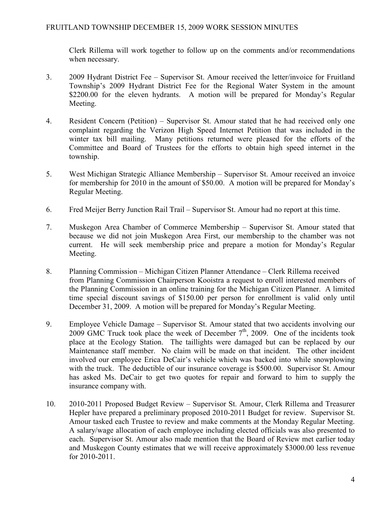Clerk Rillema will work together to follow up on the comments and/or recommendations when necessary.

- 3. 2009 Hydrant District Fee Supervisor St. Amour received the letter/invoice for Fruitland Township's 2009 Hydrant District Fee for the Regional Water System in the amount \$2200.00 for the eleven hydrants. A motion will be prepared for Monday's Regular Meeting.
- 4. Resident Concern (Petition) Supervisor St. Amour stated that he had received only one complaint regarding the Verizon High Speed Internet Petition that was included in the winter tax bill mailing. Many petitions returned were pleased for the efforts of the Committee and Board of Trustees for the efforts to obtain high speed internet in the township.
- 5. West Michigan Strategic Alliance Membership Supervisor St. Amour received an invoice for membership for 2010 in the amount of \$50.00. A motion will be prepared for Monday's Regular Meeting.
- 6. Fred Meijer Berry Junction Rail Trail Supervisor St. Amour had no report at this time.
- 7. Muskegon Area Chamber of Commerce Membership Supervisor St. Amour stated that because we did not join Muskegon Area First, our membership to the chamber was not current. He will seek membership price and prepare a motion for Monday's Regular Meeting.
- 8. Planning Commission Michigan Citizen Planner Attendance Clerk Rillema received from Planning Commission Chairperson Kooistra a request to enroll interested members of the Planning Commission in an online training for the Michigan Citizen Planner. A limited time special discount savings of \$150.00 per person for enrollment is valid only until December 31, 2009. A motion will be prepared for Monday's Regular Meeting.
- 9. Employee Vehicle Damage Supervisor St. Amour stated that two accidents involving our 2009 GMC Truck took place the week of December  $7<sup>th</sup>$ , 2009. One of the incidents took place at the Ecology Station. The taillights were damaged but can be replaced by our Maintenance staff member. No claim will be made on that incident. The other incident involved our employee Erica DeCair's vehicle which was backed into while snowplowing with the truck. The deductible of our insurance coverage is \$500.00. Supervisor St. Amour has asked Ms. DeCair to get two quotes for repair and forward to him to supply the insurance company with.
- 10. 2010-2011 Proposed Budget Review Supervisor St. Amour, Clerk Rillema and Treasurer Hepler have prepared a preliminary proposed 2010-2011 Budget for review. Supervisor St. Amour tasked each Trustee to review and make comments at the Monday Regular Meeting. A salary/wage allocation of each employee including elected officials was also presented to each. Supervisor St. Amour also made mention that the Board of Review met earlier today and Muskegon County estimates that we will receive approximately \$3000.00 less revenue for 2010-2011.